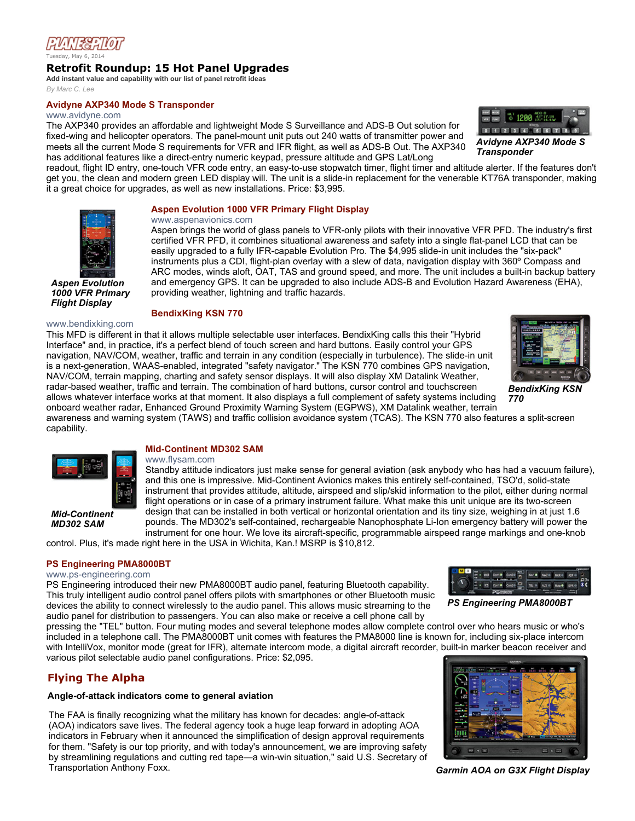# ЕПби

Tuesday, May 6, 2014

# Retrofit Roundup: 15 Hot Panel Upgrades

Add instant value and capability with our list of panel retrofit ideas *By Marc C. Lee*

## Avidyne AXP340 Mode S Transponder

www.avidyne.com

*Aspen Evolution 1000 VFR Primary Flight Display*

The AXP340 provides an affordable and lightweight Mode S Surveillance and ADS-B Out solution for fixed-wing and helicopter operators. The panel-mount unit puts out 240 watts of transmitter power and meets all the current Mode S requirements for VFR and IFR flight, as well as ADS-B Out. The AXP340 has additional features like a direct-entry numeric keypad, pressure altitude and GPS Lat/Long

readout, flight ID entry, one-touch VFR code entry, an easy-to-use stopwatch timer, flight timer and altitude alerter. If the features don't get you, the clean and modern green LED display will. The unit is a slide-in replacement for the venerable KT76A transponder, making it a great choice for upgrades, as well as new installations. Price: \$3,995.

## Aspen Evolution 1000 VFR Primary Flight Display

#### www.aspenavionics.com

Aspen brings the world of glass panels to VFR-only pilots with their innovative VFR PFD. The industry's first certified VFR PFD, it combines situational awareness and safety into a single flat-panel LCD that can be easily upgraded to a fully IFR-capable Evolution Pro. The \$4,995 slide-in unit includes the "six-pack" instruments plus a CDI, flight-plan overlay with a slew of data, navigation display with 360º Compass and ARC modes, winds aloft, OAT, TAS and ground speed, and more. The unit includes a built-in backup battery and emergency GPS. It can be upgraded to also include ADS-B and Evolution Hazard Awareness (EHA), providing weather, lightning and traffic hazards.

www.bendixking.com This MFD is different in that it allows multiple selectable user interfaces. BendixKing calls this their "Hybrid Interface" and, in practice, it's a perfect blend of touch screen and hard buttons. Easily control your GPS navigation, NAV/COM, weather, traffic and terrain in any condition (especially in turbulence). The slide-in unit is a next-generation, WAAS-enabled, integrated "safety navigator." The KSN 770 combines GPS navigation, NAV/COM, terrain mapping, charting and safety sensor displays. It will also display XM Datalink Weather, radar-based weather, traffic and terrain. The combination of hard buttons, cursor control and touchscreen allows whatever interface works at that moment. It also displays a full complement of safety systems including onboard weather radar, Enhanced Ground Proximity Warning System (EGPWS), XM Datalink weather, terrain

awareness and warning system (TAWS) and traffic collision avoidance system (TCAS). The KSN 770 also features a split-screen capability.



#### Mid-Continent MD302 SAM

#### www.flysam.com

Standby attitude indicators just make sense for general aviation (ask anybody who has had a vacuum failure), and this one is impressive. Mid-Continent Avionics makes this entirely self-contained, TSO'd, solid-state instrument that provides attitude, altitude, airspeed and slip/skid information to the pilot, either during normal flight operations or in case of a primary instrument failure. What make this unit unique are its two-screen design that can be installed in both vertical or horizontal orientation and its tiny size, weighing in at just 1.6 pounds. The MD302's self-contained, rechargeable Nanophosphate Li-Ion emergency battery will power the instrument for one hour. We love its aircraft-specific, programmable airspeed range markings and one-knob

control. Plus, it's made right here in the USA in Wichita, Kan.! MSRP is \$10,812.

# PS Engineering PMA8000BT

#### www.ps-engineering.com

PS Engineering introduced their new PMA8000BT audio panel, featuring Bluetooth capability. This truly intelligent audio control panel offers pilots with smartphones or other Bluetooth music devices the ability to connect wirelessly to the audio panel. This allows music streaming to the audio panel for distribution to passengers. You can also make or receive a cell phone call by

pressing the "TEL" button. Four muting modes and several telephone modes allow complete control over who hears music or who's included in a telephone call. The PMA8000BT unit comes with features the PMA8000 line is known for, including six-place intercom with IntelliVox, monitor mode (great for IFR), alternate intercom mode, a digital aircraft recorder, built-in marker beacon receiver and various pilot selectable audio panel configurations. Price: \$2,095.

# Flying The Alpha

#### Angle-of-attack indicators come to general aviation

The FAA is finally recognizing what the military has known for decades: angle-of-attack (AOA) indicators save lives. The federal agency took a huge leap forward in adopting AOA indicators in February when it announced the simplification of design approval requirements for them. "Safety is our top priority, and with today's announcement, we are improving safety by streamlining regulations and cutting red tape—a win-win situation," said U.S. Secretary of Transportation Anthony Foxx.

*Garmin AOA on G3X Flight Display*





*BendixKing KSN 770*







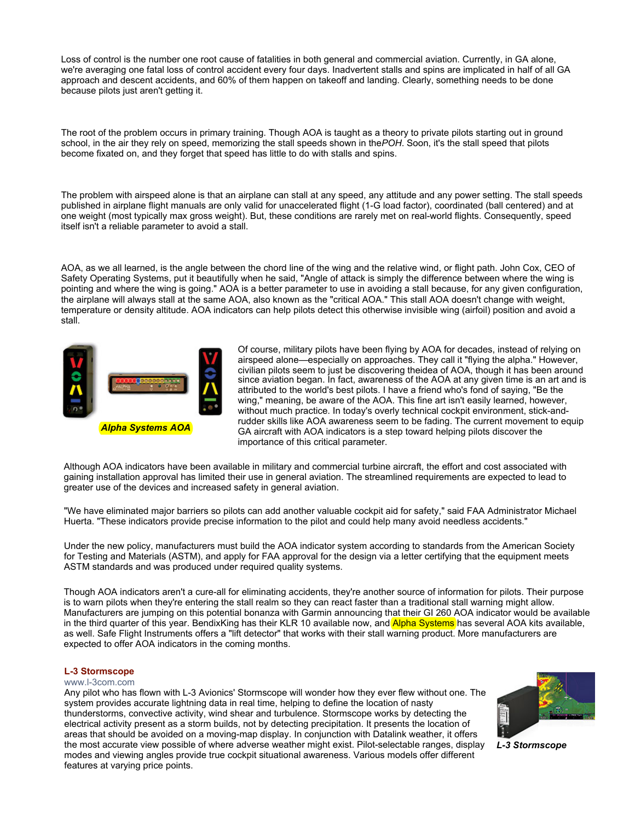Loss of control is the number one root cause of fatalities in both general and commercial aviation. Currently, in GA alone, we're averaging one fatal loss of control accident every four days. Inadvertent stalls and spins are implicated in half of all GA approach and descent accidents, and 60% of them happen on takeoff and landing. Clearly, something ne[eds to](http://www.planeandpilotmag.com/products/whats-new/retrofit-roundup-15-hot-panel-upgrades.html#) be done because pilots just aren't getting it.

The root of the problem occurs in primary training. Though AOA is taught as a theory to private pilots starting out in ground school, in the air they rely on speed, memorizing the stall speeds shown in the*POH*. Soon, it's the stall speed that pilots become fixated on, and they forget that speed has little to do with stalls and spins.

The problem with airspeed alone is that an airplane can stall at any speed, any attitude and any power setting. The stall speeds published in airplane flight manuals are only valid for unaccelerated flight (1-G load factor), coordinated (ball centered) and at one weight (most typically max gross weight). But, these conditions are rarely met on real-world flights. Consequently, speed itself isn't a reliable parameter to avoid a stall.

AOA, as we all learned, is the angle between the chord line of the wing and the relative wind, or flight path. John Cox, CEO of Safety Operating Systems, put it beautifully when he said, "Angle of attack is simply the difference between where the wing is pointing and where the wing is going." AOA is a better parameter to use in avoiding a stall because, for any given configuration, the airplane will always stall at the same AOA, also known as the "critical AOA." This stall AOA doesn't change with weight, temperature or density altitude. AOA indicators can help pilots detect this otherwise invisible wing (airfoil) position and avoid a stall.



Of course, military pilots have been flying by AOA for decades, instead of relying on airspeed alone—especially on approaches. They call it "flying the alpha." However, civilian pilots seem to just be discovering theidea of AOA, though it has been around since aviation began. In fact, awareness of the AOA at any given time is an art and is attributed to the world's best pilots. I have a friend who's fond of saying, "Be the wing," meaning, be aware of the AOA. This fine art isn't easily learned, however, without much practice. In today's overly technical cockpit environment, stick-andrudder skills like AOA awareness seem to be fading. The current movement to equip GA aircraft with AOA indicators is a step toward helping pilots discover the importance of this critical parameter.

Although AOA indicators have been available in military and commercial turbine aircraft, the effort and cost associated with gaining installation approval has limited their use in general aviation. The streamlined requirements are expected to lead to greater use of the devices and increased safety in general aviation.

"We have eliminated major barriers so pilots can add another valuable cockpit aid for safety," said FAA Administrator Michael Huerta. "These indicators provide precise information to the pilot and could help many avoid needless accidents."

Under the new policy, manufacturers must build the AOA indicator system according to standards from the American Society for Testing and Materials (ASTM), and apply for FAA approval for the design via a letter certifying that the equipment meets ASTM standards and was produced under required quality systems.

Though AOA indicators aren't a cure-all for eliminating accidents, they're another source of information for pilots. Their purpose is to warn pilots when they're entering the stall realm so they can react faster than a traditional stall warning might allow. Manufacturers are jumping on this potential bonanza with Garmin announcing that their GI 260 AOA indicator would be available in the third quarter of this year. BendixKing has their KLR 10 available now, and Alpha Systems has several AOA kits available, as well. Safe Flight Instruments offers a "lift detector" that works with their stall warning product. More manufacturers are expected to offer AOA indicators in the coming months.

#### L-3 Stormscope

#### www.l-3com.com

Any pilot who has flown with L-3 Avionics' Stormscope will wonder how they ever flew without one. The system provides accurate lightning data in real time, helping to define the location of nasty thunderstorms, convective activity, wind shear and turbulence. Stormscope works by detecting the electrical activity present as a storm builds, not by detecting precipitation. It presents the location of areas that should be avoided on a moving-map display. In conjunction with Datalink weather, it offers the most accurate view possible of where adverse weather might exist. Pilot-selectable ranges, display modes and viewing angles provide true cockpit situational awareness. Various models offer different features at varying price points.



*L-3 Stormscope*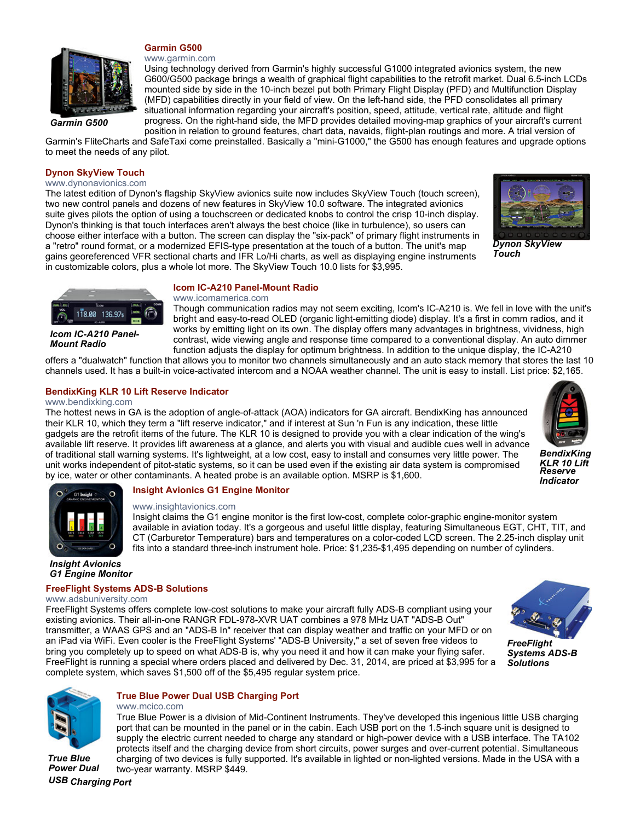#### Garmin G500 www.garmin.com



Using technology derived from Garmin's highly successful G1000 integrated avionics system, the new G600/G500 package brings a wealth of graphical flight capabilities to the retrofit market. Dual 6.5-inch LCDs mounted side by side in the 10-inch bezel put both Primary Flight Display (PFD) and Multifunction Display (MFD) capabilities directly in your field of view. On the left-hand side, the PFD consolidates all primary situational information regarding your aircraft's position, speed, attitude, vertical rate, altitude and flight *Garmin G500* progress. On the right-hand side, the MFD provides detailed moving-map graphics of your aircraft's current position in relation to ground features, chart data, navaids, flight-plan routings and more. A trial version of

Garmin's FliteCharts and SafeTaxi come preinstalled. Basically a "mini-G1000," the G500 has enough features and upgrade options to meet the needs of any pilot.

## Dynon SkyView Touch

www.dynonavionics.com

The latest edition of Dynon's flagship SkyView avionics suite now includes SkyView Touch (touch screen), two new control panels and dozens of new features in SkyView 10.0 software. The integrated avionics suite gives pilots the option of using a touchscreen or dedicated knobs to control the crisp 10-inch display. Dynon's thinking is that touch interfaces aren't always the best choice (like in turbulence), so users can choose either interface with a button. The screen can display the "six-pack" of primary flight instruments in a "retro" round format, or a modernized EFIS-type presentation at the touch of a button. The unit's map gains georeferenced VFR sectional charts and IFR Lo/Hi charts, as well as displaying engine instruments in customizable colors, plus a whole lot more. The SkyView Touch 10.0 lists for \$3,995.



*Dynon SkyView Touch*



# *Icom IC-A210 Panel-*

# Icom IC-A210 Panel-Mount Radio

www.icomamerica.com

Though communication radios may not seem exciting, Icom's IC-A210 is. We fell in love with the unit's bright and easy-to-read OLED (organic light-emitting diode) display. It's a first in comm radios, and it **Com IC-A210 Panel-**<br>contrast, wide viewing angle and response time compared to a conventional display. An auto dimmer<br>**Mount Radio**<br>contrast and the display of the display of the display of the compared to the unique disp works by emitting light on its own. The display offers many advantages in brightness, vividness, high function adjusts the display for optimum brightness. In addition to the unique display, the IC-A210

offers a "dualwatch" function that allows you to monitor two channels simultaneously and an auto stack memory that stores the last 10 channels used. It has a built-in voice-activated intercom and a NOAA weather channel. The unit is easy to install. List price: \$2,165.

## BendixKing KLR 10 Lift Reserve Indicator

#### www.bendixking.com

The hottest news in GA is the adoption of angle-of-attack (AOA) indicators for GA aircraft. BendixKing has announced their KLR 10, which they term a "lift reserve indicator," and if interest at Sun 'n Fun is any indication, these little gadgets are the retrofit items of the future. The KLR 10 is designed to provide you with a clear indication of the wing's available lift reserve. It provides lift awareness at a glance, and alerts you with visual and audible cues well in advance of traditional stall warning systems. It's lightweight, at a low cost, easy to install and consumes very little power. The unit works independent of pitot-static systems, so it can be used even if the existing air data system is compromised by ice, water or other contaminants. A heated probe is an available option. MSRP is \$1,600.



*BendixKing KLR 10 Lift Reserve Indicator*



# Insight Avionics G1 Engine Monitor

#### www.insightavionics.com

Insight claims the G1 engine monitor is the first low-cost, complete color-graphic engine-monitor system available in aviation today. It's a gorgeous and useful little display, featuring Simultaneous EGT, CHT, TIT, and CT (Carburetor Temperature) bars and temperatures on a color-coded LCD screen. The 2.25-inch display unit fits into a standard three-inch instrument hole. Price: \$1,235-\$1,495 depending on number of cylinders.

#### *Insight Avionics G1 Engine Monitor*

# FreeFlight Systems ADS-B Solutions

www.adsbuniversity.com

FreeFlight Systems offers complete low-cost solutions to make your aircraft fully ADS-B compliant using your existing avionics. Their all-in-one RANGR FDL-978-XVR UAT combines a 978 MHz UAT "ADS-B Out" transmitter, a WAAS GPS and an "ADS-B In" receiver that can display weather and traffic on your MFD or on an iPad via WiFi. Even cooler is the FreeFlight Systems' "ADS-B University," a set of seven free videos to bring you completely up to speed on what ADS-B is, why you need it and how it can make your flying safer. FreeFlight is running a special where orders placed and delivered by Dec. 31, 2014, are priced at \$3,995 for a complete system, which saves \$1,500 off of the \$5,495 regular system price.



*True Blue*

#### True Blue Power Dual USB Charging Port www.mcico.com

True Blue Power is a division of Mid-Continent Instruments. They've developed this ingenious little USB charging port that can be mounted in the panel or in the cabin. Each USB port on the 1.5-inch square unit is designed to supply the electric current needed to charge any standard or high-power device with a USB interface. The TA102 protects itself and the charging device from short circuits, power surges and over-current potential. Simultaneous charging of two devices is fully supported. It's available in lighted or non-lighted versions. Made in the USA with a two-year warranty. MSRP \$449.



*FreeFlight Systems ADS-B Solutions*

*Power Dual USB Charging Port*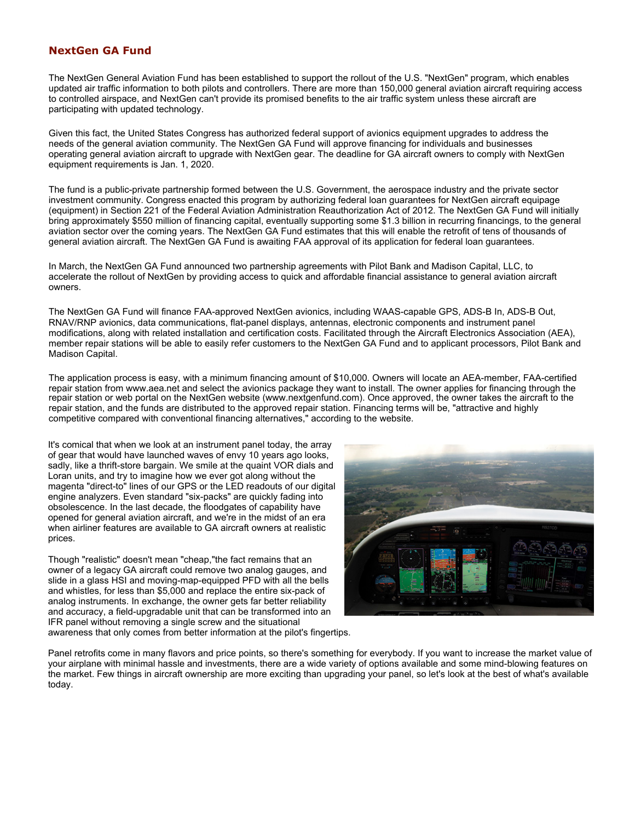# NextGen GA Fund

The NextGen General Aviation Fund has been established to support the rollout of the U.S. "NextGen" program, which enables updated air traffic information to both pilots and controllers. There are more than 150,000 general aviation aircraft requiring access to controlled airspace, and NextGen can't provide its promised benefits to the air traffic system unless these aircraft are participating with updated technology.

Given this fact, the United States Congress has authorized federal support of avionics equipment upgrades to address the needs of the general aviation community. The NextGen GA Fund will approve financing for individuals and businesses operating general aviation aircraft to upgrade with NextGen gear. The deadline for GA aircraft owners to comply with NextGen equipment requirements is Jan. 1, 2020.

The fund is a public-private partnership formed between the U.S. Government, the aerospace industry and the private sector investment community. Congress enacted this program by authorizing federal loan guarantees for NextGen aircraft equipage (equipment) in Section 221 of the Federal Aviation Administration Reauthorization Act of 2012. The NextGen GA Fund will initially bring approximately \$550 million of financing capital, eventually supporting some \$1.3 billion in recurring financings, to the general aviation sector over the coming years. The NextGen GA Fund estimates that this will enable the retrofit of tens of thousands of general aviation aircraft. The NextGen GA Fund is awaiting FAA approval of its application for federal loan guarantees.

In March, the NextGen GA Fund announced two partnership agreements with Pilot Bank and Madison Capital, LLC, to accelerate the rollout of NextGen by providing access to quick and affordable financial assistance to general aviation aircraft owners.

The NextGen GA Fund will finance FAA-approved NextGen avionics, including WAAS-capable GPS, ADS-B In, ADS-B Out, RNAV/RNP avionics, data communications, flat-panel displays, antennas, electronic components and instrument panel modifications, along with related installation and certification costs. Facilitated through the Aircraft Electronics Association (AEA), member repair stations will be able to easily refer customers to the NextGen GA Fund and to applicant processors, Pilot Bank and Madison Capital.

The application process is easy, with a minimum financing amount of \$10,000. Owners will locate an AEA-member, FAA-certified repair station from www.aea.net and select the avionics package they want to install. The owner applies for financing through the repair station or web portal on the NextGen website (www.nextgenfund.com). Once approved, the owner takes the aircraft to the repair station, and the funds are distributed to the approved repair station. Financing terms will be, "attractive and highly competitive compared with conventional financing alternatives," according to the website.

It's comical that when we look at an instrument panel today, the array of gear that would have launched waves of envy 10 years ago looks, sadly, like a thrift-store bargain. We smile at the quaint VOR dials and Loran units, and try to imagine how we ever got along without the magenta "direct-to" lines of our GPS or the LED readouts of our digital engine analyzers. Even standard "six-packs" are quickly fading into obsolescence. In the last decade, the floodgates of capability have opened for general aviation aircraft, and we're in the midst of an era when airliner features are available to GA aircraft owners at realistic prices.

Though "realistic" doesn't mean "cheap,"the fact remains that an owner of a legacy GA aircraft could remove two analog gauges, and slide in a glass HSI and moving-map-equipped PFD with all the bells and whistles, for less than \$5,000 and replace the entire six-pack of analog instruments. In exchange, the owner gets far better reliability and accuracy, a field-upgradable unit that can be transformed into an IFR panel without removing a single screw and the situational



awareness that only comes from better information at the pilot's fingertips.

Panel retrofits come in many flavors and price points, so there's something for everybody. If you want to increase the market value of your airplane with minimal hassle and investments, there are a wide variety of options available and some mind-blowing features on the market. Few things in aircraft ownership are more exciting than upgrading your panel, so let's look at the best of what's available today.